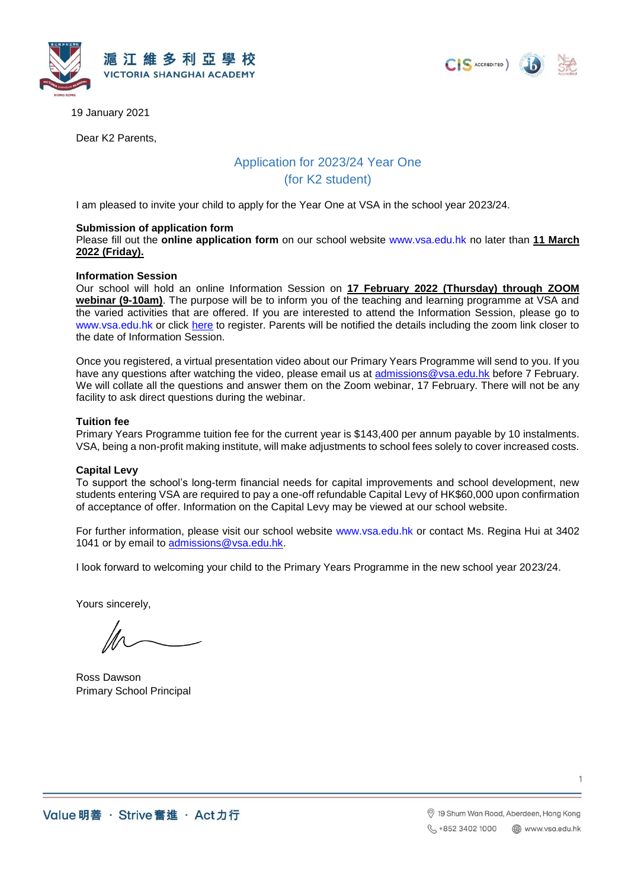





19 January 2021

Dear K2 Parents,

# Application for 2023/24 Year One (for K2 student)

I am pleased to invite your child to apply for the Year One at VSA in the school year 2023/24.

## **Submission of application form**

Please fill out the **online application form** on our school website [www.vsa.edu.hk](http://www.vsa.edu.hk/) no later than **11 March 2022 (Friday).**

#### **Information Session**

Our school will hold an online Information Session on **17 February 2022 (Thursday) through ZOOM webinar (9-10am)**. The purpose will be to inform you of the teaching and learning programme at VSA and the varied activities that are offered. If you are interested to attend the Information Session, please go to [www.vsa.edu.hk](http://www.vsa.edu.hk/) or click [here](https://portal.vsa.edu.hk/booking/k2_parents_evening_2022.php?lang=en) to register. Parents will be notified the details including the zoom link closer to the date of Information Session.

Once you registered, a virtual presentation video about our Primary Years Programme will send to you. If you have any questions after watching the video, please email us at [admissions@vsa.edu.hk](mailto:admissions@vsa.edu.hk) before 7 February. We will collate all the questions and answer them on the Zoom webinar, 17 February. There will not be any facility to ask direct questions during the webinar.

## **Tuition fee**

Primary Years Programme tuition fee for the current year is \$143,400 per annum payable by 10 instalments. VSA, being a non-profit making institute, will make adjustments to school fees solely to cover increased costs.

## **Capital Levy**

To support the school's long-term financial needs for capital improvements and school development, new students entering VSA are required to pay a one-off refundable Capital Levy of HK\$60,000 upon confirmation of acceptance of offer. Information on the Capital Levy may be viewed at our school website.

For further information, please visit our school website [www.vsa.edu.hk](http://www.vsa.edu.hk/) or contact Ms. Regina Hui at 3402 1041 or by email to [admissions@vsa.edu.hk.](mailto:admissions@vsa.edu.hk)

I look forward to welcoming your child to the Primary Years Programme in the new school year 2023/24.

Yours sincerely,

Ross Dawson Primary School Principal

1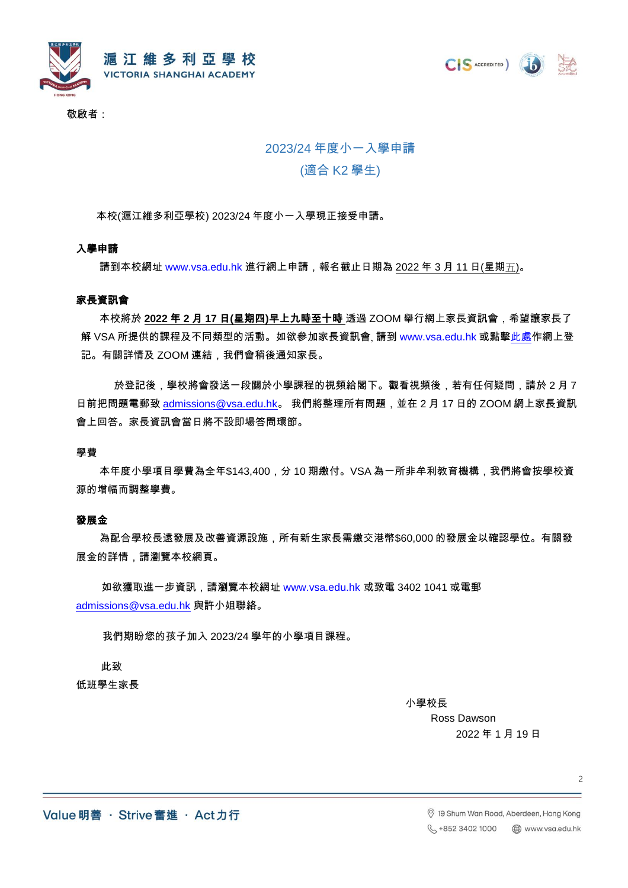

敬啟者:

# 2023/24 年度小一入學申請

# (適合 K2 學生)

本校(滬江維多利亞學校) 2023/24 年度小一入學現正接受申請。

# 入學申請

請到本校網址 [www.vsa.edu.hk](http://www.vsa.edu.hk/) 進行網上申請,報名截止日期為 <u>2022 年 3 月 11 日(星期五)</u>。

#### 家長資訊會

 本校將於 **2022** 年 **2** 月 **17** 日**(**星期四**)**早上九時至十時 透過 ZOOM 舉行網上家長資訊會,希望讓家長了 解 VSA 所提供的課程及不同類型的活動。如欲參加家長資訊會, 請到 [www.vsa.edu.hk](http://www.vsa.edu.hk/) 或點[擊此處作](https://portal.vsa.edu.hk/booking/k2_parents_evening_2022.php?lang=chi)網上登 記。有關詳情及 ZOOM 連結,我們會稍後通知家長。

於登記後,學校將會發送一段關於小學課程的視頻給閣下。觀看視頻後,若有任何疑問,請於 2 月 7 日前把問題電郵致 [admissions@vsa.edu.hk](mailto:admissions@vsa.edu.hk)。 我們將整理所有問題,並在 2 月 17 日的 ZOOM 網上家長資訊 會上回答。家長資訊會當日將不設即場答問環節。

#### 學費

 本年度小學項目學費為全年\$143,400,分 10 期繳付。VSA 為一所非牟利教育機構,我們將會按學校資 源的增幅而調整學費。

### 發展金

 為配合學校長遠發展及改善資源設施,所有新生家長需繳交港幣\$60,000 的發展金以確認學位。有關發 展金的詳情,請瀏覽本校網頁。

如欲獲取進一步資訊,請瀏覽本校網址 [www.vsa.edu.hk](http://www.vsa.edu.hk/) 或致電 3402 1041 或電郵 [admissions@vsa.edu.hk](mailto:admissions@vsa.edu.hk) 與許小姐聯絡。

我們期盼您的孩子加入 2023/24 學年的小學項目課程。

此致 低班學生家長

小學校長

Ross Dawson 2022 年 1 月 19 日

CIS ACCREDITED )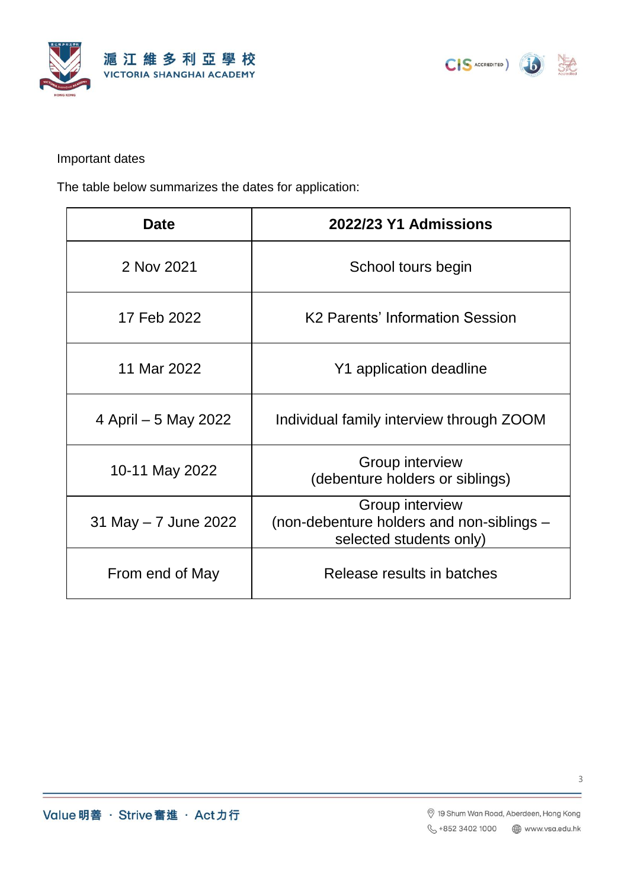



Important dates

The table below summarizes the dates for application:

| <b>Date</b>           | 2022/23 Y1 Admissions                                                                   |
|-----------------------|-----------------------------------------------------------------------------------------|
| 2 Nov 2021            | School tours begin                                                                      |
| 17 Feb 2022           | K <sub>2</sub> Parents' Information Session                                             |
| 11 Mar 2022           | Y1 application deadline                                                                 |
| 4 April – 5 May 2022  | Individual family interview through ZOOM                                                |
| 10-11 May 2022        | Group interview<br>(debenture holders or siblings)                                      |
| 31 May $-7$ June 2022 | Group interview<br>(non-debenture holders and non-siblings –<br>selected students only) |
| From end of May       | Release results in batches                                                              |